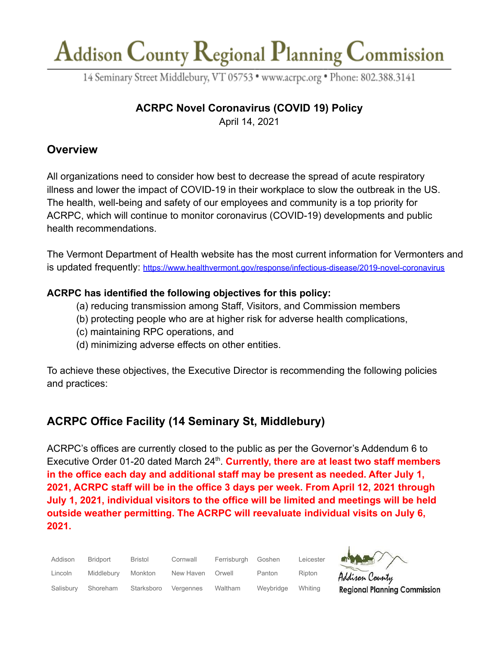14 Seminary Street Middlebury, VT 05753 · www.acrpc.org · Phone: 802.388.3141

## **ACRPC Novel Coronavirus (COVID 19) Policy**

April 14, 2021

## **Overview**

All organizations need to consider how best to decrease the spread of acute respiratory illness and lower the impact of COVID-19 in their workplace to slow the outbreak in the US. The health, well-being and safety of our employees and community is a top priority for ACRPC, which will continue to monitor coronavirus (COVID-19) developments and public health recommendations.

The Vermont Department of Health website has the most current information for Vermonters and is updated frequently: <https://www.healthvermont.gov/response/infectious-disease/2019-novel-coronavirus>

### **ACRPC has identified the following objectives for this policy:**

- (a) reducing transmission among Staff, Visitors, and Commission members
- (b) protecting people who are at higher risk for adverse health complications,
- (c) maintaining RPC operations, and
- (d) minimizing adverse effects on other entities.

To achieve these objectives, the Executive Director is recommending the following policies and practices:

## **ACRPC Office Facility (14 Seminary St, Middlebury)**

ACRPC's offices are currently closed to the public as per the Governor's Addendum 6 to Executive Order 01-20 dated March 24<sup>th</sup>. Currently, there are at least two staff members **in the office each day and additional staff may be present as needed. After July 1, 2021, ACRPC staff will be in the office 3 days per week. From April 12, 2021 through July 1, 2021, individual visitors to the office will be limited and meetings will be held outside weather permitting. The ACRPC will reevaluate individual visits on July 6, 2021.**

| Addison   | <b>Bridport</b> | <b>Bristol</b> | Cornwall  | Ferrisburgh | Goshen    | Leicester | $M_{\rm H}$                         |
|-----------|-----------------|----------------|-----------|-------------|-----------|-----------|-------------------------------------|
| Lincoln   | Middlebury      | Monkton        | New Haven | Orwell      | Panton    | Ripton    | Addison County                      |
| Salisbury | Shoreham        | Starksboro     | Vergennes | Waltham     | Weybridge | Whiting   | <b>Regional Planning Commission</b> |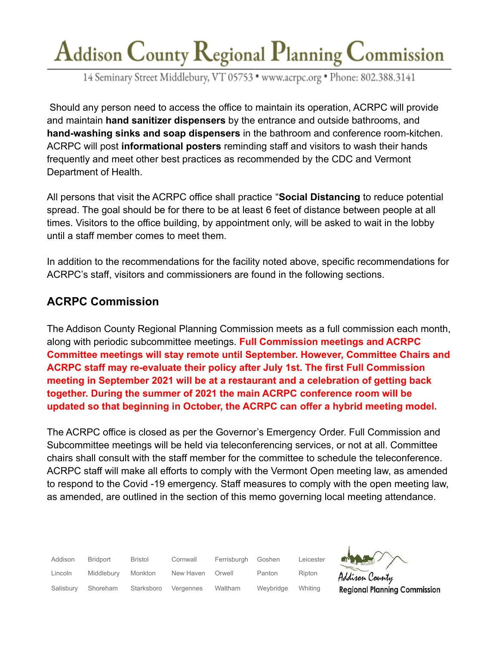14 Seminary Street Middlebury, VT 05753 · www.acrpc.org · Phone: 802.388.3141

Should any person need to access the office to maintain its operation, ACRPC will provide and maintain **hand sanitizer dispensers** by the entrance and outside bathrooms, and **hand-washing sinks and soap dispensers** in the bathroom and conference room-kitchen. ACRPC will post **informational posters** reminding staff and visitors to wash their hands frequently and meet other best practices as recommended by the CDC and Vermont Department of Health.

All persons that visit the ACRPC office shall practice "**Social Distancing** to reduce potential spread. The goal should be for there to be at least 6 feet of distance between people at all times. Visitors to the office building, by appointment only, will be asked to wait in the lobby until a staff member comes to meet them.

In addition to the recommendations for the facility noted above, specific recommendations for ACRPC's staff, visitors and commissioners are found in the following sections.

## **ACRPC Commission**

The Addison County Regional Planning Commission meets as a full commission each month, along with periodic subcommittee meetings. **Full Commission meetings and ACRPC Committee meetings will stay remote until September. However, Committee Chairs and ACRPC staff may re-evaluate their policy after July 1st. The first Full Commission meeting in September 2021 will be at a restaurant and a celebration of getting back together. During the summer of 2021 the main ACRPC conference room will be updated so that beginning in October, the ACRPC can offer a hybrid meeting model.**

The ACRPC office is closed as per the Governor's Emergency Order. Full Commission and Subcommittee meetings will be held via teleconferencing services, or not at all. Committee chairs shall consult with the staff member for the committee to schedule the teleconference. ACRPC staff will make all efforts to comply with the Vermont Open meeting law, as amended to respond to the Covid -19 emergency. Staff measures to comply with the open meeting law, as amended, are outlined in the section of this memo governing local meeting attendance.

| Addison   | Bridport   | <b>Bristol</b> | Cornwall  | Ferrisburgh | Goshen    | Leicester | MAG                                 |
|-----------|------------|----------------|-----------|-------------|-----------|-----------|-------------------------------------|
| Lincoln   | Middlebury | Monkton        | New Haven | Orwell      | Panton    | Ripton    | Addison County                      |
| Salisbury | Shoreham   | Starksboro     | Vergennes | Waltham     | Weybridge | Whiting   | <b>Regional Planning Commission</b> |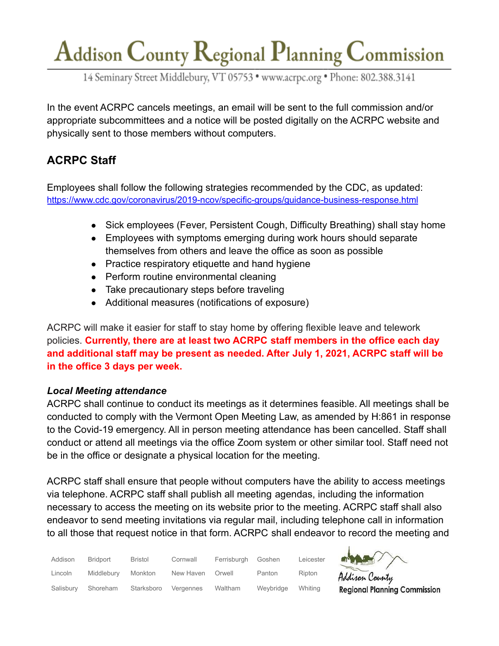14 Seminary Street Middlebury, VT 05753 · www.acrpc.org · Phone: 802.388.3141

In the event ACRPC cancels meetings, an email will be sent to the full commission and/or appropriate subcommittees and a notice will be posted digitally on the ACRPC website and physically sent to those members without computers.

## **ACRPC Staff**

Employees shall follow the following strategies recommended by the CDC, as updated: <https://www.cdc.gov/coronavirus/2019-ncov/specific-groups/guidance-business-response.html>

- Sick employees (Fever, Persistent Cough, Difficulty Breathing) shall stay home
- Employees with symptoms emerging during work hours should separate themselves from others and leave the office as soon as possible
- Practice respiratory etiquette and hand hygiene
- Perform routine environmental cleaning
- Take precautionary steps before traveling
- Additional measures (notifications of exposure)

ACRPC will make it easier for staff to stay home by offering flexible leave and telework policies. **Currently, there are at least two ACRPC staff members in the office each day and additional staff may be present as needed. After July 1, 2021, ACRPC staff will be in the office 3 days per week.**

### *Local Meeting attendance*

ACRPC shall continue to conduct its meetings as it determines feasible. All meetings shall be conducted to comply with the Vermont Open Meeting Law, as amended by H:861 in response to the Covid-19 emergency. All in person meeting attendance has been cancelled. Staff shall conduct or attend all meetings via the office Zoom system or other similar tool. Staff need not be in the office or designate a physical location for the meeting.

ACRPC staff shall ensure that people without computers have the ability to access meetings via telephone. ACRPC staff shall publish all meeting agendas, including the information necessary to access the meeting on its website prior to the meeting. ACRPC staff shall also endeavor to send meeting invitations via regular mail, including telephone call in information to all those that request notice in that form. ACRPC shall endeavor to record the meeting and

| Addison   | Bridport   | Bristol    | Cornwall  | Ferrisburgh | Goshen    | Leicester |
|-----------|------------|------------|-----------|-------------|-----------|-----------|
| Lincoln   | Middlebury | Monkton    | New Haven | Orwell      | Panton    | Ripton    |
| Salisbury | Shoreham   | Starksboro | Vergennes | Waltham     | Weybridge | Whiting   |



Addison County **Regional Planning Commission**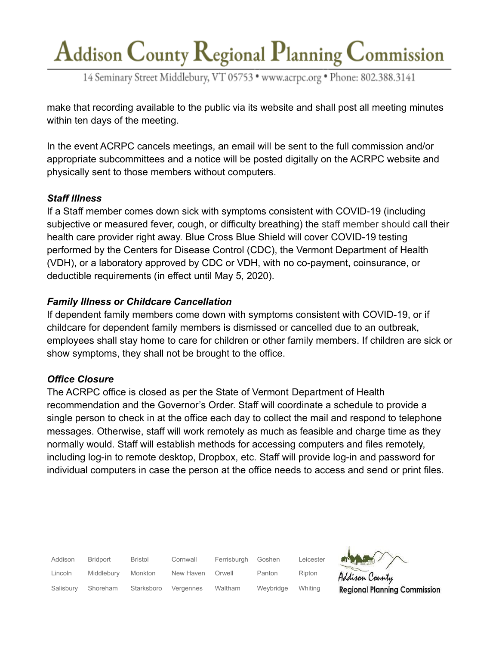14 Seminary Street Middlebury, VT 05753 · www.acrpc.org · Phone: 802.388.3141

make that recording available to the public via its website and shall post all meeting minutes within ten days of the meeting.

In the event ACRPC cancels meetings, an email will be sent to the full commission and/or appropriate subcommittees and a notice will be posted digitally on the ACRPC website and physically sent to those members without computers.

### *Staff Illness*

If a Staff member comes down sick with symptoms consistent with COVID-19 (including subjective or measured fever, cough, or difficulty breathing) the staff member should call their health care provider right away. Blue Cross Blue Shield will cover COVID-19 testing performed by the Centers for Disease Control (CDC), the Vermont Department of Health (VDH), or a laboratory approved by CDC or VDH, with no co-payment, coinsurance, or deductible requirements (in effect until May 5, 2020).

### *Family Illness or Childcare Cancellation*

If dependent family members come down with symptoms consistent with COVID-19, or if childcare for dependent family members is dismissed or cancelled due to an outbreak, employees shall stay home to care for children or other family members. If children are sick or show symptoms, they shall not be brought to the office.

### *Office Closure*

The ACRPC office is closed as per the State of Vermont Department of Health recommendation and the Governor's Order. Staff will coordinate a schedule to provide a single person to check in at the office each day to collect the mail and respond to telephone messages. Otherwise, staff will work remotely as much as feasible and charge time as they normally would. Staff will establish methods for accessing computers and files remotely, including log-in to remote desktop, Dropbox, etc. Staff will provide log-in and password for individual computers in case the person at the office needs to access and send or print files.

| Addison   | Bridport   | Bristol    | Cornwall  | Ferrisburgh | Goshen    | Leicester |
|-----------|------------|------------|-----------|-------------|-----------|-----------|
| Lincoln   | Middlebury | Monkton    | New Haven | Orwell      | Panton    | Ripton    |
| Salisbury | Shoreham   | Starksboro | Vergennes | Waltham     | Weybridge | Whiting   |

**Regional Planning Commission**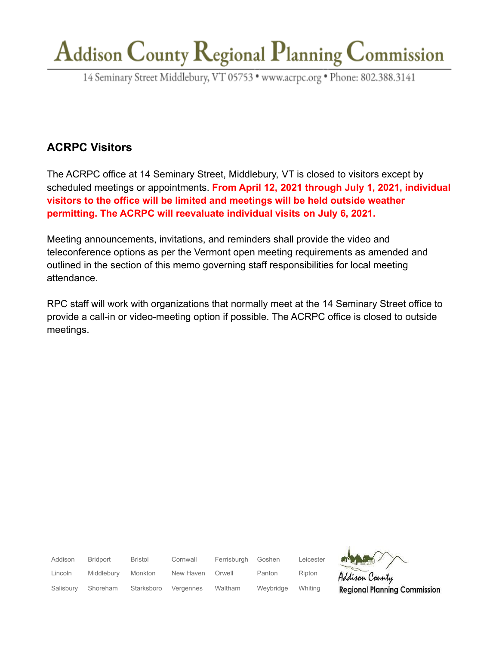14 Seminary Street Middlebury, VT 05753 · www.acrpc.org · Phone: 802.388.3141

## **ACRPC Visitors**

The ACRPC office at 14 Seminary Street, Middlebury, VT is closed to visitors except by scheduled meetings or appointments. **From April 12, 2021 through July 1, 2021, individual visitors to the office will be limited and meetings will be held outside weather permitting. The ACRPC will reevaluate individual visits on July 6, 2021.**

Meeting announcements, invitations, and reminders shall provide the video and teleconference options as per the Vermont open meeting requirements as amended and outlined in the section of this memo governing staff responsibilities for local meeting attendance.

RPC staff will work with organizations that normally meet at the 14 Seminary Street office to provide a call-in or video-meeting option if possible. The ACRPC office is closed to outside meetings.

Addison Bridport Bristol Cornwall Ferrisburgh Goshen Leicester Lincoln Middlebury Monkton New Haven Orwell Panton Ripton son County **Regional Planning Commission** Salisbury Shoreham Starksboro Vergennes Waltham Weybridge Whiting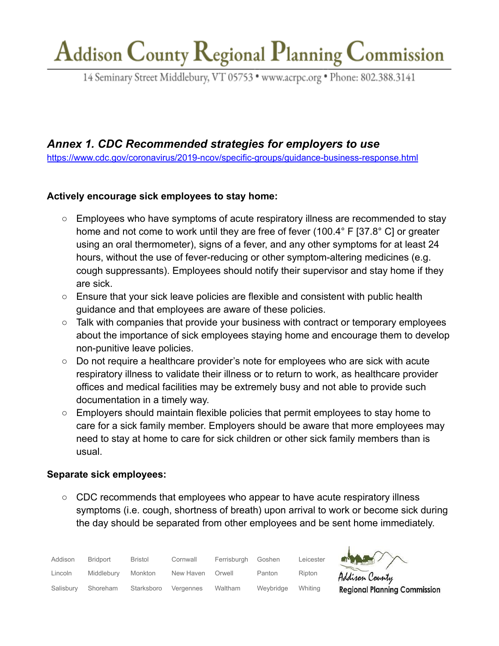14 Seminary Street Middlebury, VT 05753 · www.acrpc.org · Phone: 802.388.3141

## *Annex 1. CDC Recommended strategies for employers to use*

<https://www.cdc.gov/coronavirus/2019-ncov/specific-groups/guidance-business-response.html>

### **Actively encourage sick employees to stay home:**

- Employees who have symptoms of acute respiratory illness are recommended to stay home and not come to work until they are free of fever (100.4° F [37.8° C] or greater using an oral thermometer), signs of a fever, and any other symptoms for at least 24 hours, without the use of fever-reducing or other symptom-altering medicines (e.g. cough suppressants). Employees should notify their supervisor and stay home if they are sick.
- Ensure that your sick leave policies are flexible and consistent with public health guidance and that employees are aware of these policies.
- Talk with companies that provide your business with contract or temporary employees about the importance of sick employees staying home and encourage them to develop non-punitive leave policies.
- Do not require a healthcare provider's note for employees who are sick with acute respiratory illness to validate their illness or to return to work, as healthcare provider offices and medical facilities may be extremely busy and not able to provide such documentation in a timely way.
- Employers should maintain flexible policies that permit employees to stay home to care for a sick family member. Employers should be aware that more employees may need to stay at home to care for sick children or other sick family members than is usual.

### **Separate sick employees:**

○ CDC recommends that employees who appear to have acute respiratory illness symptoms (i.e. cough, shortness of breath) upon arrival to work or become sick during the day should be separated from other employees and be sent home immediately.

 $\overline{1}$ 

ina Commission

| Addison   | <b>Bridport</b> | Bristol    | Cornwall  | Ferrisburgh    | Goshen    | Leicester | <b>MARY</b>           |
|-----------|-----------------|------------|-----------|----------------|-----------|-----------|-----------------------|
| Lincoln   | Middlebury      | Monkton    | New Haven | Orwell         | Panton    | Ripton    | Addison Count         |
| Salisbury | Shoreham        | Starksboro | Vergennes | <b>Waltham</b> | Weybridge | Whitina   | <b>Regional Plann</b> |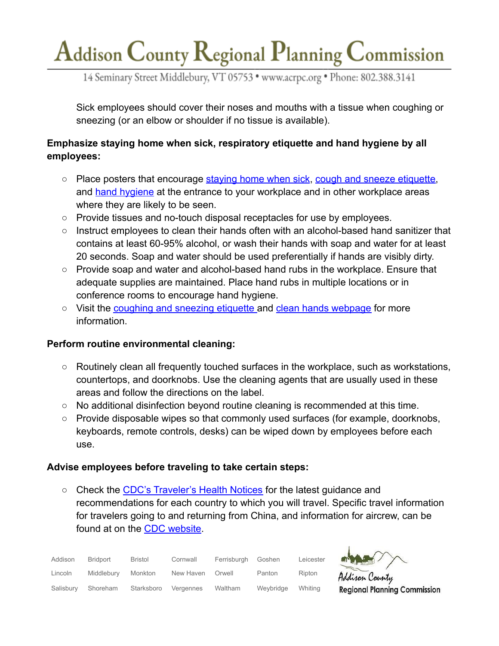14 Seminary Street Middlebury, VT 05753 · www.acrpc.org · Phone: 802.388.3141

Sick employees should cover their noses and mouths with a tissue when coughing or sneezing (or an elbow or shoulder if no tissue is available).

### **Emphasize staying home when sick, respiratory etiquette and hand hygiene by all employees:**

- Place posters that encourage [staying home when sick](https://www.cdc.gov/nonpharmaceutical-interventions/tools-resources/educational-materials.html), [cough and sneeze etiquette,](https://www.cdc.gov/healthywater/hygiene/etiquette/coughing_sneezing.html) and [hand hygiene](https://www.cdc.gov/handwashing/materials.html) at the entrance to your workplace and in other workplace areas where they are likely to be seen.
- Provide tissues and no-touch disposal receptacles for use by employees.
- Instruct employees to clean their hands often with an alcohol-based hand sanitizer that contains at least 60-95% alcohol, or wash their hands with soap and water for at least 20 seconds. Soap and water should be used preferentially if hands are visibly dirty.
- Provide soap and water and alcohol-based hand rubs in the workplace. Ensure that adequate supplies are maintained. Place hand rubs in multiple locations or in conference rooms to encourage hand hygiene.
- Visit the [coughing and sneezing etiquette](http://www.cdc.gov/healthywater/hygiene/etiquette/coughing_sneezing.html) and clean [hands webpage](https://www.cdc.gov/handwashing/index.html) for more information.

### **Perform routine environmental cleaning:**

- Routinely clean all frequently touched surfaces in the workplace, such as workstations, countertops, and doorknobs. Use the cleaning agents that are usually used in these areas and follow the directions on the label.
- No additional disinfection beyond routine cleaning is recommended at this time.
- Provide disposable wipes so that commonly used surfaces (for example, doorknobs, keyboards, remote controls, desks) can be wiped down by employees before each use.

### **Advise employees before traveling to take certain steps:**

○ Check the [CDC's Traveler's Health Notices](http://www.cdc.gov/travel) for the latest guidance and recommendations for each country to which you will travel. Specific travel information for travelers going to and returning from China, and information for aircrew, can be found at on the [CDC website](https://www.cdc.gov/coronavirus/2019-ncov/travelers/index.html).

| Addison   | Bridport   | Bristol    | Cornwall  | Ferrisburgh | Goshen    | Leicester |
|-----------|------------|------------|-----------|-------------|-----------|-----------|
| Lincoln   | Middlebury | Monkton    | New Haven | Orwell      | Panton    | Ripton    |
| Salisbury | Shoreham   | Starksboro | Vergennes | Waltham     | Weybridge | Whiting   |

lisan County

**Regional Planning Commission**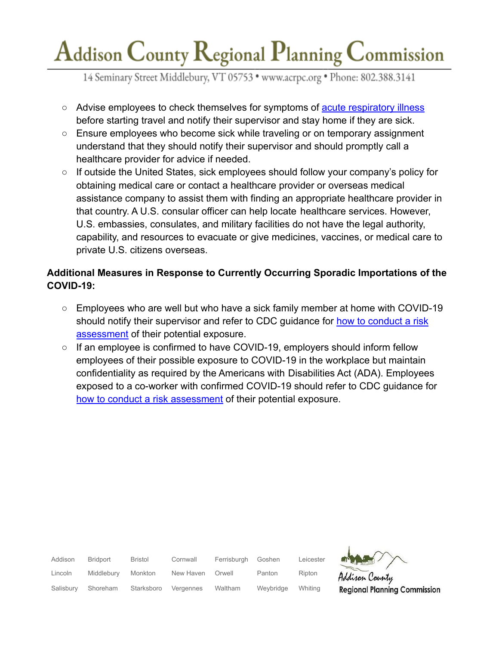14 Seminary Street Middlebury, VT 05753 · www.acrpc.org · Phone: 802.388.3141

- Advise employees to check themselves for symptoms of [acute respiratory illness](https://www.cdc.gov/coronavirus/2019-ncov/about/symptoms.html) before starting travel and notify their supervisor and stay home if they are sick.
- Ensure employees who become sick while traveling or on temporary assignment understand that they should notify their supervisor and should promptly call a healthcare provider for advice if needed.
- If outside the United States, sick employees should follow your company's policy for obtaining medical care or contact a healthcare provider or overseas medical assistance company to assist them with finding an appropriate healthcare provider in that country. A U.S. consular officer can help locate healthcare services. However, U.S. embassies, consulates, and military facilities do not have the legal authority, capability, and resources to evacuate or give medicines, vaccines, or medical care to private U.S. citizens overseas.

### **Additional Measures in Response to Currently Occurring Sporadic Importations of the COVID-19:**

- Employees who are well but who have a sick family member at home with COVID-19 should notify their supervisor and refer to CDC guidance for [how to conduct a risk](https://www.cdc.gov/coronavirus/2019-ncov/php/risk-assessment.html) [assessment](https://www.cdc.gov/coronavirus/2019-ncov/php/risk-assessment.html) of their potential exposure.
- If an employee is confirmed to have COVID-19, employers should inform fellow employees of their possible exposure to COVID-19 in the workplace but maintain confidentiality as required by the Americans with Disabilities Act (ADA). Employees exposed to a co-worker with confirmed COVID-19 should refer to CDC guidance fo[r](https://www.cdc.gov/coronavirus/2019-ncov/php/risk-assessment.html) [how to conduct a risk assessment](https://www.cdc.gov/coronavirus/2019-ncov/php/risk-assessment.html) of their potential exposure.

| Addison   | <b>Bridport</b> | <b>Bristol</b> | Cornwall  | Ferrisburgh | Goshen    | Leicester | NAME                                |
|-----------|-----------------|----------------|-----------|-------------|-----------|-----------|-------------------------------------|
| Lincoln   | Middlebury      | Monkton        | New Haven | Orwell      | Panton    | Ripton    | Addison County                      |
| Salisbury | Shoreham        | Starksboro     | Vergennes | Waltham     | Weybridge | Whiting   | <b>Regional Planning Commission</b> |